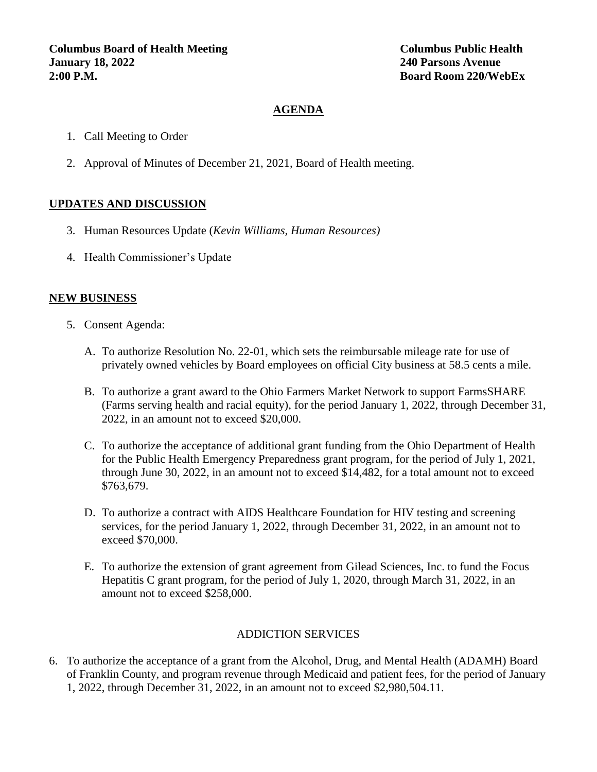## **AGENDA**

- 1. Call Meeting to Order
- 2. Approval of Minutes of December 21, 2021, Board of Health meeting.

# **UPDATES AND DISCUSSION**

- 3. Human Resources Update (*Kevin Williams, Human Resources)*
- 4. Health Commissioner's Update

### **NEW BUSINESS**

- 5. Consent Agenda:
	- A. To authorize Resolution No. 22-01, which sets the reimbursable mileage rate for use of privately owned vehicles by Board employees on official City business at 58.5 cents a mile.
	- B. To authorize a grant award to the Ohio Farmers Market Network to support FarmsSHARE (Farms serving health and racial equity), for the period January 1, 2022, through December 31, 2022, in an amount not to exceed \$20,000.
	- C. To authorize the acceptance of additional grant funding from the Ohio Department of Health for the Public Health Emergency Preparedness grant program, for the period of July 1, 2021, through June 30, 2022, in an amount not to exceed \$14,482, for a total amount not to exceed \$763,679.
	- D. To authorize a contract with AIDS Healthcare Foundation for HIV testing and screening services, for the period January 1, 2022, through December 31, 2022, in an amount not to exceed \$70,000.
	- E. To authorize the extension of grant agreement from Gilead Sciences, Inc. to fund the Focus Hepatitis C grant program, for the period of July 1, 2020, through March 31, 2022, in an amount not to exceed \$258,000.

### ADDICTION SERVICES

6. To authorize the acceptance of a grant from the Alcohol, Drug, and Mental Health (ADAMH) Board of Franklin County, and program revenue through Medicaid and patient fees, for the period of January 1, 2022, through December 31, 2022, in an amount not to exceed \$2,980,504.11.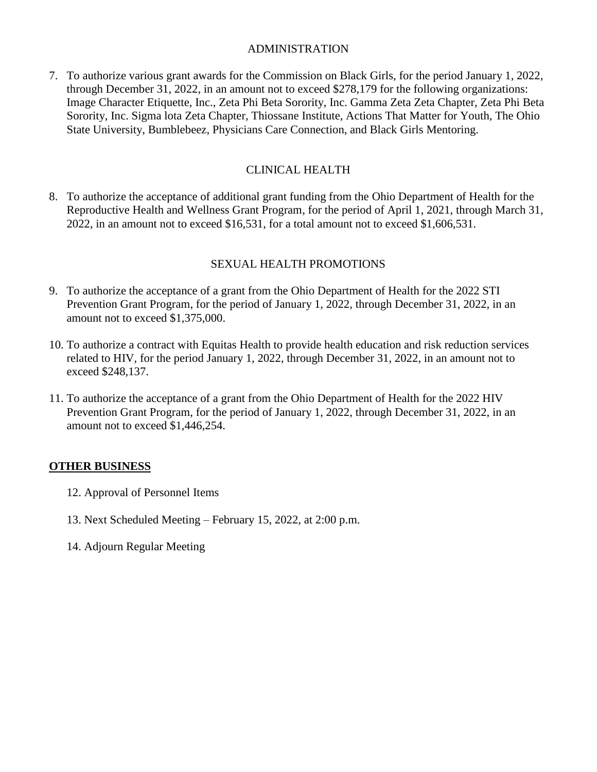#### ADMINISTRATION

7. To authorize various grant awards for the Commission on Black Girls, for the period January 1, 2022, through December 31, 2022, in an amount not to exceed \$278,179 for the following organizations: Image Character Etiquette, Inc., Zeta Phi Beta Sorority, Inc. Gamma Zeta Zeta Chapter, Zeta Phi Beta Sorority, Inc. Sigma lota Zeta Chapter, Thiossane Institute, Actions That Matter for Youth, The Ohio State University, Bumblebeez, Physicians Care Connection, and Black Girls Mentoring.

### CLINICAL HEALTH

8. To authorize the acceptance of additional grant funding from the Ohio Department of Health for the Reproductive Health and Wellness Grant Program, for the period of April 1, 2021, through March 31, 2022, in an amount not to exceed \$16,531, for a total amount not to exceed \$1,606,531.

#### SEXUAL HEALTH PROMOTIONS

- 9. To authorize the acceptance of a grant from the Ohio Department of Health for the 2022 STI Prevention Grant Program, for the period of January 1, 2022, through December 31, 2022, in an amount not to exceed \$1,375,000.
- 10. To authorize a contract with Equitas Health to provide health education and risk reduction services related to HIV, for the period January 1, 2022, through December 31, 2022, in an amount not to exceed \$248,137.
- 11. To authorize the acceptance of a grant from the Ohio Department of Health for the 2022 HIV Prevention Grant Program, for the period of January 1, 2022, through December 31, 2022, in an amount not to exceed \$1,446,254.

#### **OTHER BUSINESS**

- 12. Approval of Personnel Items
- 13. Next Scheduled Meeting February 15, 2022, at 2:00 p.m.
- 14. Adjourn Regular Meeting